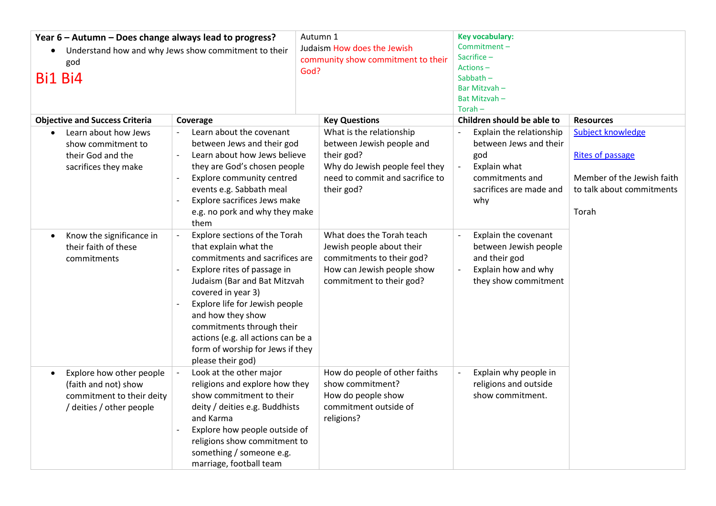| Year 6 - Autumn - Does change always lead to progress?<br>Understand how and why Jews show commitment to their<br>god<br><b>Bi1 Bi4</b> |                                                                                                                                                                                                                                                                                                                                                                  | Autumn 1<br>Judaism How does the Jewish<br>community show commitment to their<br>God?                                                                  | Key vocabulary:<br>Commitment-<br>Sacrifice $-$<br>Actions-<br>Sabbath-<br>Bar Mitzvah-<br>Bat Mitzvah-<br>$Torah -$                                       |                                                                                                                  |
|-----------------------------------------------------------------------------------------------------------------------------------------|------------------------------------------------------------------------------------------------------------------------------------------------------------------------------------------------------------------------------------------------------------------------------------------------------------------------------------------------------------------|--------------------------------------------------------------------------------------------------------------------------------------------------------|------------------------------------------------------------------------------------------------------------------------------------------------------------|------------------------------------------------------------------------------------------------------------------|
| <b>Objective and Success Criteria</b>                                                                                                   | Coverage                                                                                                                                                                                                                                                                                                                                                         | <b>Key Questions</b>                                                                                                                                   | Children should be able to                                                                                                                                 | <b>Resources</b>                                                                                                 |
| Learn about how Jews<br>show commitment to<br>their God and the<br>sacrifices they make                                                 | Learn about the covenant<br>$\overline{a}$<br>between Jews and their god<br>Learn about how Jews believe<br>$\overline{\phantom{a}}$<br>they are God's chosen people<br>Explore community centred<br>events e.g. Sabbath meal<br>Explore sacrifices Jews make<br>e.g. no pork and why they make<br>them                                                          | What is the relationship<br>between Jewish people and<br>their god?<br>Why do Jewish people feel they<br>need to commit and sacrifice to<br>their god? | Explain the relationship<br>between Jews and their<br>god<br>Explain what<br>$\overline{\phantom{0}}$<br>commitments and<br>sacrifices are made and<br>why | Subject knowledge<br><b>Rites of passage</b><br>Member of the Jewish faith<br>to talk about commitments<br>Torah |
| Know the significance in<br>their faith of these<br>commitments                                                                         | Explore sections of the Torah<br>that explain what the<br>commitments and sacrifices are<br>Explore rites of passage in<br>Judaism (Bar and Bat Mitzvah<br>covered in year 3)<br>Explore life for Jewish people<br>and how they show<br>commitments through their<br>actions (e.g. all actions can be a<br>form of worship for Jews if they<br>please their god) | What does the Torah teach<br>Jewish people about their<br>commitments to their god?<br>How can Jewish people show<br>commitment to their god?          | Explain the covenant<br>between Jewish people<br>and their god<br>Explain how and why<br>they show commitment                                              |                                                                                                                  |
| Explore how other people<br>$\bullet$<br>(faith and not) show<br>commitment to their deity<br>/ deities / other people                  | Look at the other major<br>religions and explore how they<br>show commitment to their<br>deity / deities e.g. Buddhists<br>and Karma<br>Explore how people outside of<br>religions show commitment to<br>something / someone e.g.<br>marriage, football team                                                                                                     | How do people of other faiths<br>show commitment?<br>How do people show<br>commitment outside of<br>religions?                                         | Explain why people in<br>religions and outside<br>show commitment.                                                                                         |                                                                                                                  |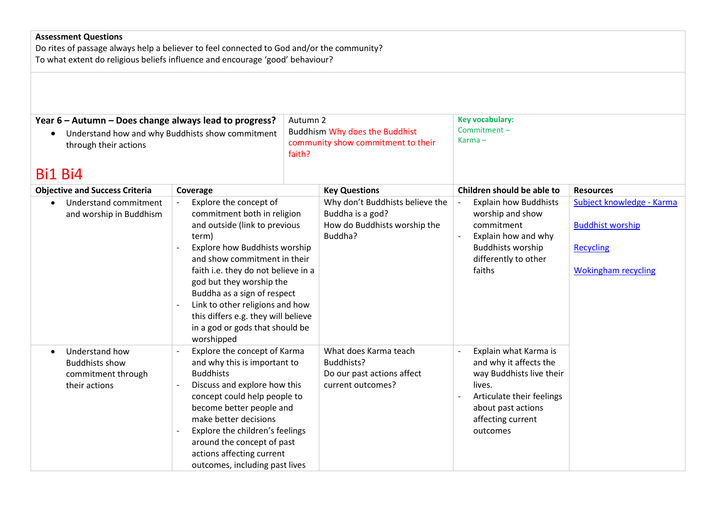## **Assessment Questions**

Do rites of passage always help a believer to feel connected to God and/or the community? To what extent do religious beliefs influence and encourage 'good' behaviour?

| Year 6 - Autumn - Does change always lead to progress?<br>Understand how and why Buddhists show commitment<br>$\bullet$<br>through their actions |                                                                                                                                                                                                                                                                                                                                                                                               | Autumn 2<br><b>Buddhism Why does the Buddhist</b><br>community show commitment to their |                                                                                                | <b>Key vocabulary:</b><br>Commitment-<br>$Karma -$                                                                                                                        |                                                                                                        |
|--------------------------------------------------------------------------------------------------------------------------------------------------|-----------------------------------------------------------------------------------------------------------------------------------------------------------------------------------------------------------------------------------------------------------------------------------------------------------------------------------------------------------------------------------------------|-----------------------------------------------------------------------------------------|------------------------------------------------------------------------------------------------|---------------------------------------------------------------------------------------------------------------------------------------------------------------------------|--------------------------------------------------------------------------------------------------------|
| Bi1 Bi4                                                                                                                                          |                                                                                                                                                                                                                                                                                                                                                                                               | faith?                                                                                  |                                                                                                |                                                                                                                                                                           |                                                                                                        |
| <b>Objective and Success Criteria</b>                                                                                                            | Coverage                                                                                                                                                                                                                                                                                                                                                                                      |                                                                                         | <b>Key Questions</b>                                                                           | Children should be able to                                                                                                                                                | <b>Resources</b>                                                                                       |
| Understand commitment<br>$\bullet$<br>and worship in Buddhism                                                                                    | Explore the concept of<br>commitment both in religion<br>and outside (link to previous<br>term)<br>Explore how Buddhists worship<br>and show commitment in their<br>faith i.e. they do not believe in a<br>god but they worship the<br>Buddha as a sign of respect<br>Link to other religions and how<br>this differs e.g. they will believe<br>in a god or gods that should be<br>worshipped |                                                                                         | Why don't Buddhists believe the<br>Buddha is a god?<br>How do Buddhists worship the<br>Buddha? | <b>Explain how Buddhists</b><br>worship and show<br>commitment<br>Explain how and why<br><b>Buddhists worship</b><br>differently to other<br>faiths                       | Subject knowledge - Karma<br><b>Buddhist worship</b><br><b>Recycling</b><br><b>Wokingham recycling</b> |
| Understand how<br>$\bullet$<br><b>Buddhists show</b><br>commitment through<br>their actions                                                      | Explore the concept of Karma<br>and why this is important to<br><b>Buddhists</b><br>Discuss and explore how this<br>concept could help people to<br>become better people and<br>make better decisions<br>Explore the children's feelings<br>around the concept of past<br>actions affecting current<br>outcomes, including past lives                                                         |                                                                                         | What does Karma teach<br>Buddhists?<br>Do our past actions affect<br>current outcomes?         | Explain what Karma is<br>and why it affects the<br>way Buddhists live their<br>lives.<br>Articulate their feelings<br>about past actions<br>affecting current<br>outcomes |                                                                                                        |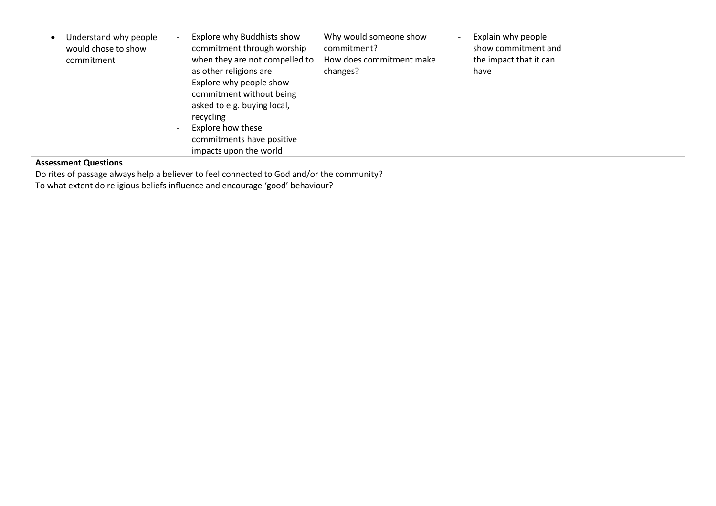| Understand why people       | Explore why Buddhists show                                                                | Why would someone show   | Explain why people     |  |
|-----------------------------|-------------------------------------------------------------------------------------------|--------------------------|------------------------|--|
| would chose to show         | commitment through worship                                                                | commitment?              | show commitment and    |  |
| commitment                  | when they are not compelled to                                                            | How does commitment make | the impact that it can |  |
|                             | as other religions are                                                                    | changes?                 | have                   |  |
|                             |                                                                                           |                          |                        |  |
|                             | Explore why people show                                                                   |                          |                        |  |
|                             | commitment without being                                                                  |                          |                        |  |
|                             | asked to e.g. buying local,                                                               |                          |                        |  |
|                             | recycling                                                                                 |                          |                        |  |
|                             | Explore how these                                                                         |                          |                        |  |
|                             |                                                                                           |                          |                        |  |
|                             | commitments have positive                                                                 |                          |                        |  |
|                             | impacts upon the world                                                                    |                          |                        |  |
| <b>Assessment Questions</b> |                                                                                           |                          |                        |  |
|                             | Do rites of passage always help a believer to feel connected to God and/or the community? |                          |                        |  |
|                             |                                                                                           |                          |                        |  |

To what extent do religious beliefs influence and encourage 'good' behaviour?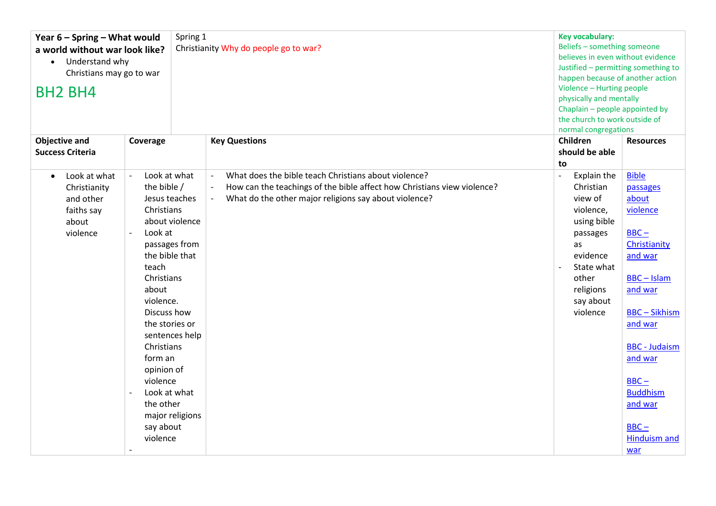| Spring 1<br>Year 6 - Spring - What would<br>a world without war look like?<br>Understand why<br>$\bullet$<br>Christians may go to war<br><b>BH2 BH4</b> |                                                                                                                                                                                                                                                                                                                                                                  | Christianity Why do people go to war?      |                                                                                                                                                                                          | <b>Key vocabulary:</b><br>Beliefs - something someone<br>believes in even without evidence<br>Justified - permitting something to<br>happen because of another action<br>Violence - Hurting people<br>physically and mentally<br>Chaplain - people appointed by<br>the church to work outside of<br>normal congregations |                                                                                                                                                                                                                                                                          |
|---------------------------------------------------------------------------------------------------------------------------------------------------------|------------------------------------------------------------------------------------------------------------------------------------------------------------------------------------------------------------------------------------------------------------------------------------------------------------------------------------------------------------------|--------------------------------------------|------------------------------------------------------------------------------------------------------------------------------------------------------------------------------------------|--------------------------------------------------------------------------------------------------------------------------------------------------------------------------------------------------------------------------------------------------------------------------------------------------------------------------|--------------------------------------------------------------------------------------------------------------------------------------------------------------------------------------------------------------------------------------------------------------------------|
| <b>Objective and</b><br><b>Success Criteria</b>                                                                                                         | Coverage                                                                                                                                                                                                                                                                                                                                                         | <b>Key Questions</b>                       |                                                                                                                                                                                          | Children<br>should be able                                                                                                                                                                                                                                                                                               | <b>Resources</b>                                                                                                                                                                                                                                                         |
| Look at what<br>$\bullet$<br>Christianity<br>and other<br>faiths say<br>about<br>violence                                                               | Look at what<br>$\sim$<br>the bible /<br>Jesus teaches<br>Christians<br>about violence<br>Look at<br>passages from<br>the bible that<br>teach<br>Christians<br>about<br>violence.<br>Discuss how<br>the stories or<br>sentences help<br>Christians<br>form an<br>opinion of<br>violence<br>Look at what<br>the other<br>major religions<br>say about<br>violence | $\overline{\phantom{a}}$<br>$\blacksquare$ | What does the bible teach Christians about violence?<br>How can the teachings of the bible affect how Christians view violence?<br>What do the other major religions say about violence? | to<br>Explain the<br>$\overline{\phantom{a}}$<br>Christian<br>view of<br>violence,<br>using bible<br>passages<br>as<br>evidence<br>State what<br>other<br>religions<br>say about<br>violence                                                                                                                             | <b>Bible</b><br>passages<br>about<br>violence<br>$BBC -$<br>Christianity<br>and war<br><b>BBC-Islam</b><br>and war<br><b>BBC-Sikhism</b><br>and war<br><b>BBC</b> - Judaism<br>and war<br>$BBC -$<br><b>Buddhism</b><br>and war<br>$BBC -$<br><b>Hinduism and</b><br>war |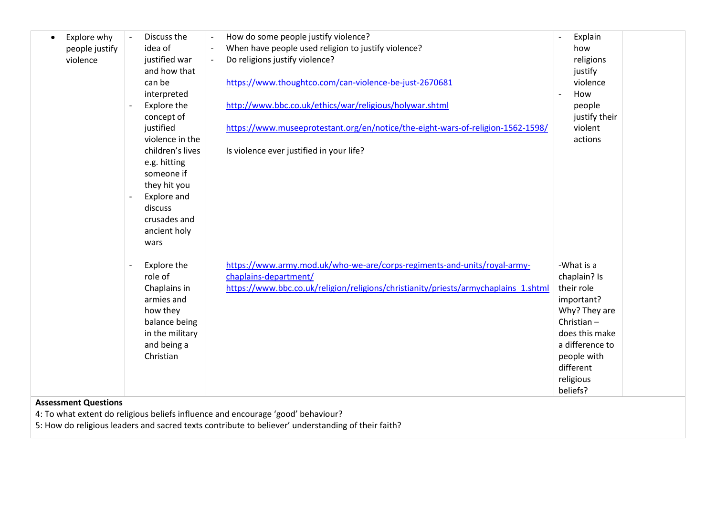| Explore why                 | Discuss the                             | How do some people justify violence?<br>$\overline{\phantom{a}}$                    | Explain<br>$\sim$ |
|-----------------------------|-----------------------------------------|-------------------------------------------------------------------------------------|-------------------|
| people justify              | idea of                                 | When have people used religion to justify violence?<br>$\overline{\phantom{a}}$     | how               |
| violence                    | justified war                           | Do religions justify violence?<br>$\overline{\phantom{a}}$                          | religions         |
|                             | and how that                            |                                                                                     | justify           |
|                             | can be                                  | https://www.thoughtco.com/can-violence-be-just-2670681                              | violence          |
|                             | interpreted                             |                                                                                     | How               |
|                             | Explore the                             | http://www.bbc.co.uk/ethics/war/religious/holywar.shtml                             | people            |
|                             | concept of                              |                                                                                     | justify their     |
|                             | justified                               | https://www.museeprotestant.org/en/notice/the-eight-wars-of-religion-1562-1598/     | violent           |
|                             | violence in the                         |                                                                                     | actions           |
|                             | children's lives                        | Is violence ever justified in your life?                                            |                   |
|                             | e.g. hitting                            |                                                                                     |                   |
|                             | someone if                              |                                                                                     |                   |
|                             | they hit you                            |                                                                                     |                   |
|                             | Explore and                             |                                                                                     |                   |
|                             | discuss                                 |                                                                                     |                   |
|                             | crusades and                            |                                                                                     |                   |
|                             | ancient holy                            |                                                                                     |                   |
|                             | wars                                    |                                                                                     |                   |
|                             |                                         |                                                                                     |                   |
|                             | Explore the<br>$\overline{\phantom{a}}$ | https://www.army.mod.uk/who-we-are/corps-regiments-and-units/royal-army-            | -What is a        |
|                             | role of                                 | chaplains-department/                                                               | chaplain? Is      |
|                             | Chaplains in                            | https://www.bbc.co.uk/religion/religions/christianity/priests/armychaplains_1.shtml | their role        |
|                             | armies and                              |                                                                                     | important?        |
|                             | how they                                |                                                                                     | Why? They are     |
|                             | balance being                           |                                                                                     | Christian-        |
|                             | in the military                         |                                                                                     | does this make    |
|                             | and being a                             |                                                                                     | a difference to   |
|                             | Christian                               |                                                                                     | people with       |
|                             |                                         |                                                                                     | different         |
|                             |                                         |                                                                                     | religious         |
|                             |                                         |                                                                                     | beliefs?          |
| <b>Assessment Questions</b> |                                         |                                                                                     |                   |

4: To what extent do religious beliefs influence and encourage 'good' behaviour?

5: How do religious leaders and sacred texts contribute to believer' understanding of their faith?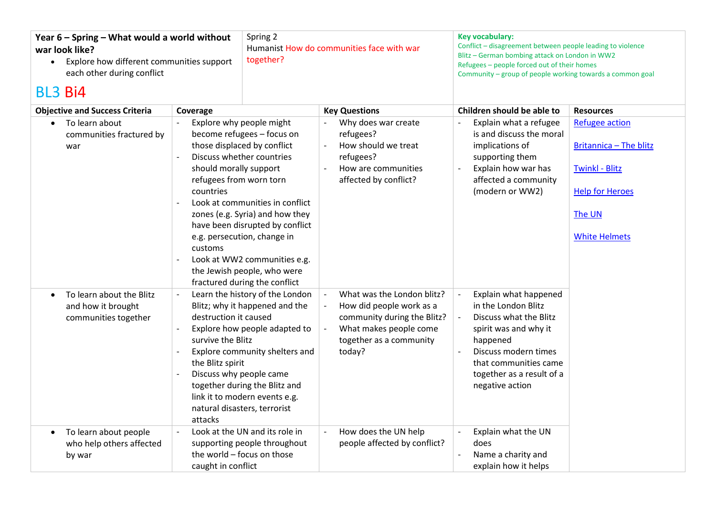| Year 6 - Spring - What would a world without<br>war look like?<br>Explore how different communities support<br>$\bullet$<br>each other during conflict<br><b>BL3 Bi4</b> |                                                                                                      | Spring 2<br>Humanist How do communities face with war<br>together?                                                                                                                                                                                                                                                                                         |  | Key vocabulary:<br>Conflict - disagreement between people leading to violence<br>Blitz - German bombing attack on London in WW2<br>Refugees - people forced out of their homes<br>Community - group of people working towards a common goal |                            |                                                                                                                                                                                                              |                                                                                                                                             |
|--------------------------------------------------------------------------------------------------------------------------------------------------------------------------|------------------------------------------------------------------------------------------------------|------------------------------------------------------------------------------------------------------------------------------------------------------------------------------------------------------------------------------------------------------------------------------------------------------------------------------------------------------------|--|---------------------------------------------------------------------------------------------------------------------------------------------------------------------------------------------------------------------------------------------|----------------------------|--------------------------------------------------------------------------------------------------------------------------------------------------------------------------------------------------------------|---------------------------------------------------------------------------------------------------------------------------------------------|
| <b>Objective and Success Criteria</b>                                                                                                                                    | Coverage                                                                                             | <b>Key Questions</b>                                                                                                                                                                                                                                                                                                                                       |  |                                                                                                                                                                                                                                             | Children should be able to | <b>Resources</b>                                                                                                                                                                                             |                                                                                                                                             |
| To learn about<br>$\bullet$<br>communities fractured by<br>war                                                                                                           | should morally support<br>refugees from worn torn<br>countries<br>customs                            | Explore why people might<br>become refugees - focus on<br>those displaced by conflict<br>Discuss whether countries<br>Look at communities in conflict<br>zones (e.g. Syria) and how they<br>have been disrupted by conflict<br>e.g. persecution, change in<br>Look at WW2 communities e.g.<br>the Jewish people, who were<br>fractured during the conflict |  | Why does war create<br>refugees?<br>How should we treat<br>refugees?<br>How are communities<br>affected by conflict?                                                                                                                        |                            | Explain what a refugee<br>is and discuss the moral<br>implications of<br>supporting them<br>Explain how war has<br>affected a community<br>(modern or WW2)                                                   | <b>Refugee action</b><br><b>Britannica - The blitz</b><br><b>Twinkl - Blitz</b><br><b>Help for Heroes</b><br>The UN<br><b>White Helmets</b> |
| To learn about the Blitz<br>$\bullet$<br>and how it brought<br>communities together                                                                                      | destruction it caused<br>survive the Blitz<br>the Blitz spirit<br>Discuss why people came<br>attacks | Learn the history of the London<br>Blitz; why it happened and the<br>Explore how people adapted to<br>Explore community shelters and<br>together during the Blitz and<br>link it to modern events e.g.<br>natural disasters, terrorist                                                                                                                     |  | What was the London blitz?<br>How did people work as a<br>community during the Blitz?<br>What makes people come<br>together as a community<br>today?                                                                                        |                            | Explain what happened<br>in the London Blitz<br>Discuss what the Blitz<br>spirit was and why it<br>happened<br>Discuss modern times<br>that communities came<br>together as a result of a<br>negative action |                                                                                                                                             |
| To learn about people<br>$\bullet$<br>who help others affected<br>by war                                                                                                 | caught in conflict                                                                                   | Look at the UN and its role in<br>supporting people throughout<br>the world - focus on those                                                                                                                                                                                                                                                               |  | How does the UN help<br>people affected by conflict?                                                                                                                                                                                        |                            | Explain what the UN<br>does<br>Name a charity and<br>explain how it helps                                                                                                                                    |                                                                                                                                             |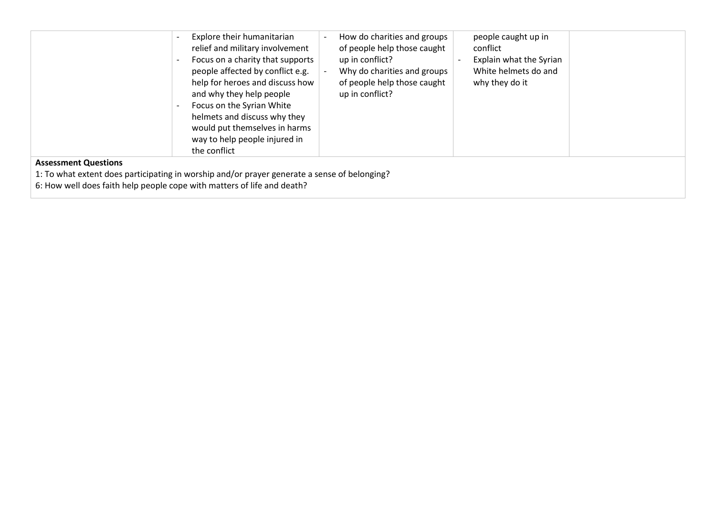| Explore their humanitarian<br>relief and military involvement<br>Focus on a charity that supports<br>people affected by conflict e.g.<br>help for heroes and discuss how<br>and why they help people<br>Focus on the Syrian White<br>helmets and discuss why they<br>would put themselves in harms<br>way to help people injured in<br>the conflict | How do charities and groups<br>people caught up in<br>of people help those caught<br>conflict<br>Explain what the Syrian<br>up in conflict?<br>Why do charities and groups<br>White helmets do and<br>of people help those caught<br>why they do it<br>up in conflict? |  |
|-----------------------------------------------------------------------------------------------------------------------------------------------------------------------------------------------------------------------------------------------------------------------------------------------------------------------------------------------------|------------------------------------------------------------------------------------------------------------------------------------------------------------------------------------------------------------------------------------------------------------------------|--|
| <b>Assessment Questions</b>                                                                                                                                                                                                                                                                                                                         |                                                                                                                                                                                                                                                                        |  |
| 1: To what extent does participating in worship and/or prayer generate a sense of belonging?                                                                                                                                                                                                                                                        |                                                                                                                                                                                                                                                                        |  |
| 6: How well does faith help people cope with matters of life and death?                                                                                                                                                                                                                                                                             |                                                                                                                                                                                                                                                                        |  |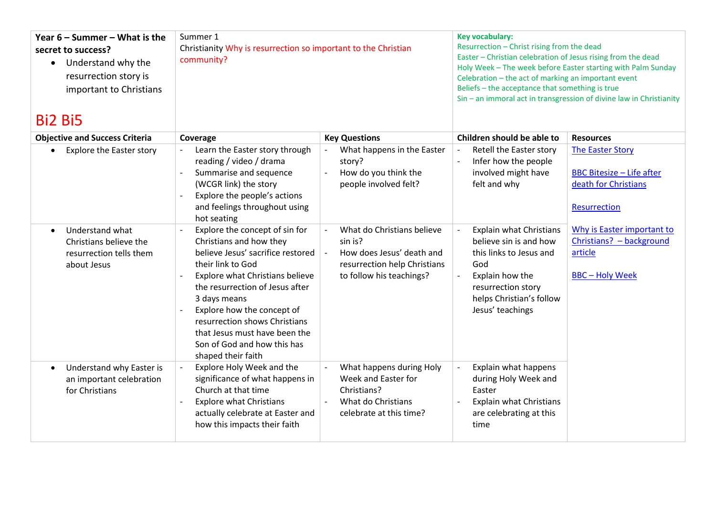| Year $6 -$ Summer – What is the<br>secret to success?<br>Understand why the<br>resurrection story is<br>important to Christians<br><b>Bi2 Bi5</b> | Summer 1<br>Christianity Why is resurrection so important to the Christian<br>community?                                                                                                                                                                                                                                     |                                                                                                                     | <b>Key vocabulary:</b><br>Resurrection - Christ rising from the dead<br>Easter - Christian celebration of Jesus rising from the dead<br>Holy Week - The week before Easter starting with Palm Sunday<br>Celebration - the act of marking an important event<br>Beliefs - the acceptance that something is true<br>Sin – an immoral act in transgression of divine law in Christianity |                                                                                                                                          |  |
|---------------------------------------------------------------------------------------------------------------------------------------------------|------------------------------------------------------------------------------------------------------------------------------------------------------------------------------------------------------------------------------------------------------------------------------------------------------------------------------|---------------------------------------------------------------------------------------------------------------------|---------------------------------------------------------------------------------------------------------------------------------------------------------------------------------------------------------------------------------------------------------------------------------------------------------------------------------------------------------------------------------------|------------------------------------------------------------------------------------------------------------------------------------------|--|
| <b>Objective and Success Criteria</b>                                                                                                             | Coverage                                                                                                                                                                                                                                                                                                                     | <b>Key Questions</b>                                                                                                | Children should be able to                                                                                                                                                                                                                                                                                                                                                            | <b>Resources</b>                                                                                                                         |  |
| <b>Explore the Easter story</b><br>Understand what<br>$\bullet$                                                                                   | Learn the Easter story through<br>reading / video / drama<br>Summarise and sequence<br>(WCGR link) the story<br>Explore the people's actions<br>and feelings throughout using<br>hot seating<br>Explore the concept of sin for                                                                                               | What happens in the Easter<br>story?<br>How do you think the<br>people involved felt?<br>What do Christians believe | Retell the Easter story<br>Infer how the people<br>involved might have<br>felt and why<br><b>Explain what Christians</b>                                                                                                                                                                                                                                                              | <b>The Easter Story</b><br><b>BBC Bitesize - Life after</b><br>death for Christians<br><b>Resurrection</b><br>Why is Easter important to |  |
| Christians believe the<br>resurrection tells them<br>about Jesus                                                                                  | Christians and how they<br>believe Jesus' sacrifice restored<br>their link to God<br>Explore what Christians believe<br>the resurrection of Jesus after<br>3 days means<br>Explore how the concept of<br>resurrection shows Christians<br>that Jesus must have been the<br>Son of God and how this has<br>shaped their faith | sin is?<br>How does Jesus' death and<br>resurrection help Christians<br>to follow his teachings?                    | believe sin is and how<br>this links to Jesus and<br>God<br>Explain how the<br>resurrection story<br>helps Christian's follow<br>Jesus' teachings                                                                                                                                                                                                                                     | Christians? - background<br>article<br><b>BBC-Holy Week</b>                                                                              |  |
| Understand why Easter is<br>an important celebration<br>for Christians                                                                            | Explore Holy Week and the<br>significance of what happens in<br>Church at that time<br><b>Explore what Christians</b><br>actually celebrate at Easter and<br>how this impacts their faith                                                                                                                                    | What happens during Holy<br>Week and Easter for<br>Christians?<br>What do Christians<br>celebrate at this time?     | Explain what happens<br>during Holy Week and<br>Easter<br><b>Explain what Christians</b><br>are celebrating at this<br>time                                                                                                                                                                                                                                                           |                                                                                                                                          |  |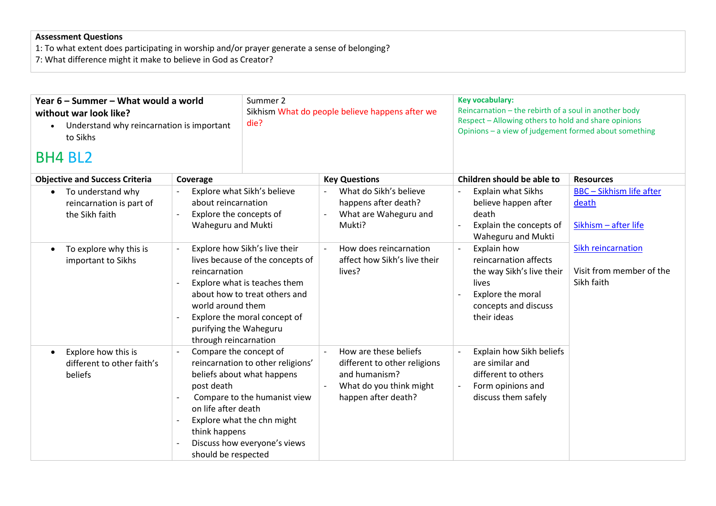## **Assessment Questions**

1: To what extent does participating in worship and/or prayer generate a sense of belonging?

7: What difference might it make to believe in God as Creator?

| Year 6 – Summer – What would a world<br>without war look like?<br>Understand why reincarnation is important<br>$\bullet$<br>to Sikhs |                                                                                                                                                                                                                                                             | Summer 2<br>Sikhism What do people believe happens after we<br>die?                                                                                           |                                                                                                                          | <b>Key vocabulary:</b><br>Reincarnation - the rebirth of a soul in another body<br>Respect - Allowing others to hold and share opinions<br>Opinions - a view of judgement formed about something |                                                                  |
|--------------------------------------------------------------------------------------------------------------------------------------|-------------------------------------------------------------------------------------------------------------------------------------------------------------------------------------------------------------------------------------------------------------|---------------------------------------------------------------------------------------------------------------------------------------------------------------|--------------------------------------------------------------------------------------------------------------------------|--------------------------------------------------------------------------------------------------------------------------------------------------------------------------------------------------|------------------------------------------------------------------|
| <b>BH4 BL2</b>                                                                                                                       |                                                                                                                                                                                                                                                             |                                                                                                                                                               |                                                                                                                          |                                                                                                                                                                                                  |                                                                  |
| <b>Objective and Success Criteria</b>                                                                                                | Coverage                                                                                                                                                                                                                                                    |                                                                                                                                                               | <b>Key Questions</b>                                                                                                     | Children should be able to                                                                                                                                                                       | <b>Resources</b>                                                 |
| To understand why<br>$\bullet$<br>reincarnation is part of<br>the Sikh faith                                                         | Explore what Sikh's believe<br>about reincarnation<br>Explore the concepts of<br>Waheguru and Mukti                                                                                                                                                         |                                                                                                                                                               | What do Sikh's believe<br>happens after death?<br>What are Waheguru and<br>Mukti?                                        | Explain what Sikhs<br>believe happen after<br>death<br>Explain the concepts of<br>Waheguru and Mukti                                                                                             | <b>BBC</b> - Sikhism life after<br>death<br>Sikhism - after life |
| To explore why this is<br>$\bullet$<br>important to Sikhs                                                                            | Explore how Sikh's live their<br>lives because of the concepts of<br>reincarnation<br>Explore what is teaches them<br>about how to treat others and<br>world around them<br>Explore the moral concept of<br>purifying the Waheguru<br>through reincarnation |                                                                                                                                                               | How does reincarnation<br>affect how Sikh's live their<br>lives?                                                         | Explain how<br>reincarnation affects<br>the way Sikh's live their<br>lives<br>Explore the moral<br>concepts and discuss<br>their ideas                                                           | Sikh reincarnation<br>Visit from member of the<br>Sikh faith     |
| Explore how this is<br>$\bullet$<br>different to other faith's<br>beliefs                                                            | Compare the concept of<br>post death<br>on life after death<br>think happens<br>should be respected                                                                                                                                                         | reincarnation to other religions'<br>beliefs about what happens<br>Compare to the humanist view<br>Explore what the chn might<br>Discuss how everyone's views | How are these beliefs<br>different to other religions<br>and humanism?<br>What do you think might<br>happen after death? | Explain how Sikh beliefs<br>are similar and<br>different to others<br>Form opinions and<br>discuss them safely                                                                                   |                                                                  |